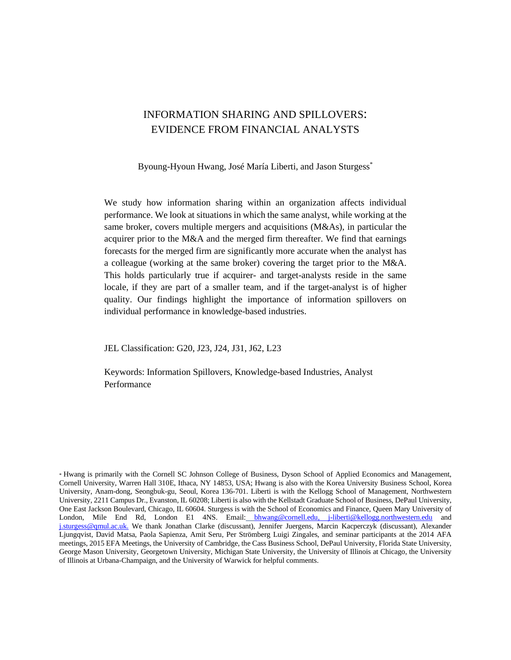# INFORMATION SHARING AND SPILLOVERS: EVIDENCE FROM FINANCIAL ANALYSTS

Byoung-Hyoun Hwang, José María Liberti, and Jason Sturgess<sup>\*</sup>

We study how information sharing within an organization affects individual performance. We look at situations in which the same analyst, while working at the same broker, covers multiple mergers and acquisitions (M&As), in particular the acquirer prior to the M&A and the merged firm thereafter. We find that earnings forecasts for the merged firm are significantly more accurate when the analyst has a colleague (working at the same broker) covering the target prior to the M&A. This holds particularly true if acquirer- and target-analysts reside in the same locale, if they are part of a smaller team, and if the target-analyst is of higher quality. Our findings highlight the importance of information spillovers on individual performance in knowledge-based industries.

JEL Classification: G20, J23, J24, J31, J62, L23

Keywords: Information Spillovers, Knowledge-based Industries, Analyst Performance

<sup>\*</sup> Hwang is primarily with the Cornell SC Johnson College of Business, Dyson School of Applied Economics and Management, Cornell University, Warren Hall 310E, Ithaca, NY 14853, USA; Hwang is also with the Korea University Business School, Korea University, Anam-dong, Seongbuk-gu, Seoul, Korea 136-701. Liberti is with the Kellogg School of Management, Northwestern University, 2211 Campus Dr., Evanston, IL 60208; Liberti is also with the Kellstadt Graduate School of Business, DePaul University, [One East Jackson Boulevard, Chicago, IL 60604. Sturgess is with the School of Economics and Finance, Queen Mary University of](mailto:j-liberti@kellogg.northwestern.edu)  London, Mile En[d](mailto:j.sturgess@qmul.ac.uk) Rd, London E1 4NS. Email: [bhwang@cornell.edu](mailto:bhwang@cornell.edu)[, j-liberti@kellogg.northwestern.edu](mailto:j-liberti@kellogg.northwestern.edu) and [j.sturgess@qmul.ac.uk.](mailto:j.sturgess@qmul.ac.uk) We thank Jonathan Clarke (discussant), Jennifer Juergens, Marcin Kacperczyk (discussant), Alexander Ljungqvist, David Matsa, Paola Sapienza, Amit Seru, Per Strömberg Luigi Zingales, and seminar participants at the 2014 AFA meetings, 2015 EFA Meetings, the University of Cambridge, the Cass Business School, DePaul University, Florida State University, George Mason University, Georgetown University, Michigan State University, the University of Illinois at Chicago, the University of Illinois at Urbana-Champaign, and the University of Warwick for helpful comments.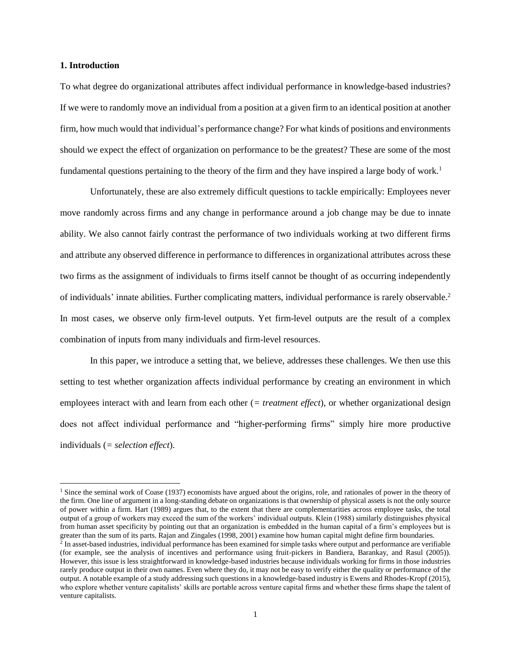#### **1. Introduction**

 $\overline{\phantom{a}}$ 

To what degree do organizational attributes affect individual performance in knowledge-based industries? If we were to randomly move an individual from a position at a given firm to an identical position at another firm, how much would that individual's performance change? For what kinds of positions and environments should we expect the effect of organization on performance to be the greatest? These are some of the most fundamental questions pertaining to the theory of the firm and they have inspired a large body of work.<sup>1</sup>

Unfortunately, these are also extremely difficult questions to tackle empirically: Employees never move randomly across firms and any change in performance around a job change may be due to innate ability. We also cannot fairly contrast the performance of two individuals working at two different firms and attribute any observed difference in performance to differences in organizational attributes across these two firms as the assignment of individuals to firms itself cannot be thought of as occurring independently of individuals' innate abilities. Further complicating matters, individual performance is rarely observable.<sup>2</sup> In most cases, we observe only firm-level outputs. Yet firm-level outputs are the result of a complex combination of inputs from many individuals and firm-level resources.

In this paper, we introduce a setting that, we believe, addresses these challenges. We then use this setting to test whether organization affects individual performance by creating an environment in which employees interact with and learn from each other (*= treatment effect*), or whether organizational design does not affect individual performance and "higher-performing firms" simply hire more productive individuals (*= selection effect*).

<sup>&</sup>lt;sup>1</sup> Since the seminal work of Coase (1937) economists have argued about the origins, role, and rationales of power in the theory of the firm. One line of argument in a long-standing debate on organizations is that ownership of physical assets is not the only source of power within a firm. Hart (1989) argues that, to the extent that there are complementarities across employee tasks, the total output of a group of workers may exceed the sum of the workers' individual outputs. Klein (1988) similarly distinguishes physical from human asset specificity by pointing out that an organization is embedded in the human capital of a firm's employees but is

greater than the sum of its parts. Rajan and Zingales (1998, 2001) examine how human capital might define firm boundaries.<br><sup>2</sup> In asset-based industries, individual performance has been examined for simple tasks where outp (for example, see the analysis of incentives and performance using fruit-pickers in Bandiera, Barankay, and Rasul (2005)). However, this issue is less straightforward in knowledge-based industries because individuals working for firms in those industries rarely produce output in their own names. Even where they do, it may not be easy to verify either the quality or performance of the output. A notable example of a study addressing such questions in a knowledge-based industry is Ewens and Rhodes-Kropf (2015), who explore whether venture capitalists' skills are portable across venture capital firms and whether these firms shape the talent of venture capitalists.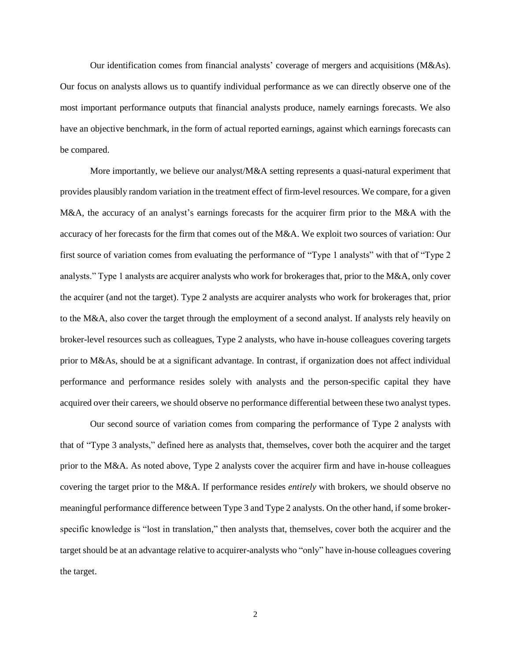Our identification comes from financial analysts' coverage of mergers and acquisitions (M&As). Our focus on analysts allows us to quantify individual performance as we can directly observe one of the most important performance outputs that financial analysts produce, namely earnings forecasts. We also have an objective benchmark, in the form of actual reported earnings, against which earnings forecasts can be compared.

More importantly, we believe our analyst/M&A setting represents a quasi-natural experiment that provides plausibly random variation in the treatment effect of firm-level resources. We compare, for a given M&A, the accuracy of an analyst's earnings forecasts for the acquirer firm prior to the M&A with the accuracy of her forecasts for the firm that comes out of the M&A. We exploit two sources of variation: Our first source of variation comes from evaluating the performance of "Type 1 analysts" with that of "Type 2 analysts." Type 1 analysts are acquirer analysts who work for brokerages that, prior to the M&A, only cover the acquirer (and not the target). Type 2 analysts are acquirer analysts who work for brokerages that, prior to the M&A, also cover the target through the employment of a second analyst. If analysts rely heavily on broker-level resources such as colleagues, Type 2 analysts, who have in-house colleagues covering targets prior to M&As, should be at a significant advantage. In contrast, if organization does not affect individual performance and performance resides solely with analysts and the person-specific capital they have acquired over their careers, we should observe no performance differential between these two analyst types.

Our second source of variation comes from comparing the performance of Type 2 analysts with that of "Type 3 analysts," defined here as analysts that, themselves, cover both the acquirer and the target prior to the M&A. As noted above, Type 2 analysts cover the acquirer firm and have in-house colleagues covering the target prior to the M&A. If performance resides *entirely* with brokers, we should observe no meaningful performance difference between Type 3 and Type 2 analysts. On the other hand, if some brokerspecific knowledge is "lost in translation," then analysts that, themselves, cover both the acquirer and the target should be at an advantage relative to acquirer-analysts who "only" have in-house colleagues covering the target.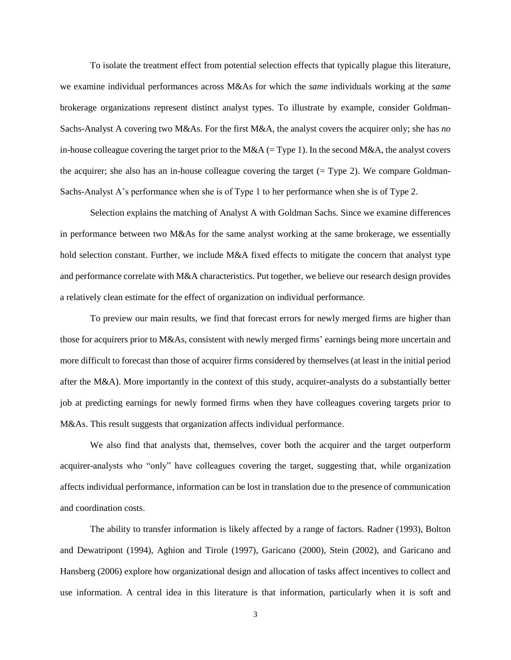To isolate the treatment effect from potential selection effects that typically plague this literature, we examine individual performances across M&As for which the *same* individuals working at the *same* brokerage organizations represent distinct analyst types. To illustrate by example, consider Goldman-Sachs-Analyst A covering two M&As. For the first M&A, the analyst covers the acquirer only; she has *no* in-house colleague covering the target prior to the M&A (= Type 1). In the second M&A, the analyst covers the acquirer; she also has an in-house colleague covering the target  $(= Type 2)$ . We compare Goldman-Sachs-Analyst A's performance when she is of Type 1 to her performance when she is of Type 2.

Selection explains the matching of Analyst A with Goldman Sachs. Since we examine differences in performance between two M&As for the same analyst working at the same brokerage, we essentially hold selection constant. Further, we include M&A fixed effects to mitigate the concern that analyst type and performance correlate with M&A characteristics. Put together, we believe our research design provides a relatively clean estimate for the effect of organization on individual performance.

To preview our main results, we find that forecast errors for newly merged firms are higher than those for acquirers prior to M&As, consistent with newly merged firms' earnings being more uncertain and more difficult to forecast than those of acquirer firms considered by themselves (at least in the initial period after the M&A). More importantly in the context of this study, acquirer-analysts do a substantially better job at predicting earnings for newly formed firms when they have colleagues covering targets prior to M&As. This result suggests that organization affects individual performance.

We also find that analysts that, themselves, cover both the acquirer and the target outperform acquirer-analysts who "only" have colleagues covering the target, suggesting that, while organization affects individual performance, information can be lost in translation due to the presence of communication and coordination costs.

The ability to transfer information is likely affected by a range of factors. Radner (1993), Bolton and Dewatripont (1994), Aghion and Tirole (1997), Garicano (2000), Stein (2002), and Garicano and Hansberg (2006) explore how organizational design and allocation of tasks affect incentives to collect and use information. A central idea in this literature is that information, particularly when it is soft and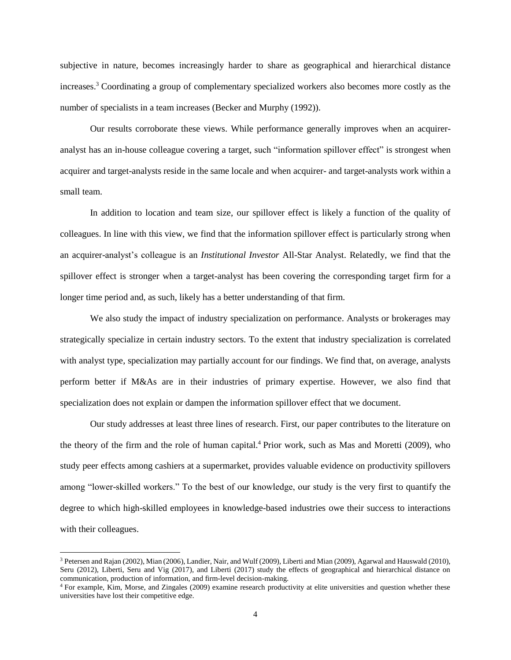subjective in nature, becomes increasingly harder to share as geographical and hierarchical distance increases. <sup>3</sup> Coordinating a group of complementary specialized workers also becomes more costly as the number of specialists in a team increases (Becker and Murphy (1992)).

Our results corroborate these views. While performance generally improves when an acquireranalyst has an in-house colleague covering a target, such "information spillover effect" is strongest when acquirer and target-analysts reside in the same locale and when acquirer- and target-analysts work within a small team.

In addition to location and team size, our spillover effect is likely a function of the quality of colleagues. In line with this view, we find that the information spillover effect is particularly strong when an acquirer-analyst's colleague is an *Institutional Investor* All-Star Analyst. Relatedly, we find that the spillover effect is stronger when a target-analyst has been covering the corresponding target firm for a longer time period and, as such, likely has a better understanding of that firm.

We also study the impact of industry specialization on performance. Analysts or brokerages may strategically specialize in certain industry sectors. To the extent that industry specialization is correlated with analyst type, specialization may partially account for our findings. We find that, on average, analysts perform better if M&As are in their industries of primary expertise. However, we also find that specialization does not explain or dampen the information spillover effect that we document.

Our study addresses at least three lines of research. First, our paper contributes to the literature on the theory of the firm and the role of human capital.<sup>4</sup> Prior work, such as Mas and Moretti (2009), who study peer effects among cashiers at a supermarket, provides valuable evidence on productivity spillovers among "lower-skilled workers." To the best of our knowledge, our study is the very first to quantify the degree to which high-skilled employees in knowledge-based industries owe their success to interactions with their colleagues.

 $\overline{\phantom{a}}$ 

<sup>&</sup>lt;sup>3</sup> Petersen and Rajan (2002), Mian (2006), Landier, Nair, and Wulf (2009), Liberti and Mian (2009), Agarwal and Hauswald (2010), Seru (2012), Liberti, Seru and Vig (2017), and Liberti (2017) study the effects of geographical and hierarchical distance on communication, production of information, and firm-level decision-making.

<sup>4</sup> For example, Kim, Morse, and Zingales (2009) examine research productivity at elite universities and question whether these universities have lost their competitive edge.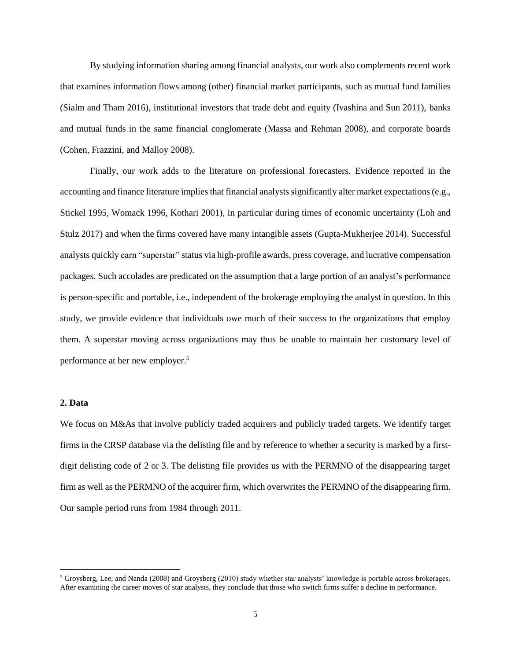By studying information sharing among financial analysts, our work also complements recent work that examines information flows among (other) financial market participants, such as mutual fund families (Sialm and Tham 2016), institutional investors that trade debt and equity (Ivashina and Sun 2011), banks and mutual funds in the same financial conglomerate (Massa and Rehman 2008), and corporate boards (Cohen, Frazzini, and Malloy 2008).

Finally, our work adds to the literature on professional forecasters. Evidence reported in the accounting and finance literature implies that financial analysts significantly alter market expectations (e.g., Stickel 1995, Womack 1996, Kothari 2001), in particular during times of economic uncertainty (Loh and Stulz 2017) and when the firms covered have many intangible assets (Gupta-Mukherjee 2014). Successful analysts quickly earn "superstar" status via high-profile awards, press coverage, and lucrative compensation packages. Such accolades are predicated on the assumption that a large portion of an analyst's performance is person-specific and portable, i.e., independent of the brokerage employing the analyst in question. In this study, we provide evidence that individuals owe much of their success to the organizations that employ them. A superstar moving across organizations may thus be unable to maintain her customary level of performance at her new employer. 5

# **2. Data**

 $\overline{\phantom{a}}$ 

We focus on M&As that involve publicly traded acquirers and publicly traded targets. We identify target firms in the CRSP database via the delisting file and by reference to whether a security is marked by a firstdigit delisting code of 2 or 3. The delisting file provides us with the PERMNO of the disappearing target firm as well as the PERMNO of the acquirer firm, which overwrites the PERMNO of the disappearing firm. Our sample period runs from 1984 through 2011.

<sup>5</sup> Groysberg, Lee, and Nanda (2008) and Groysberg (2010) study whether star analysts' knowledge is portable across brokerages. After examining the career moves of star analysts, they conclude that those who switch firms suffer a decline in performance.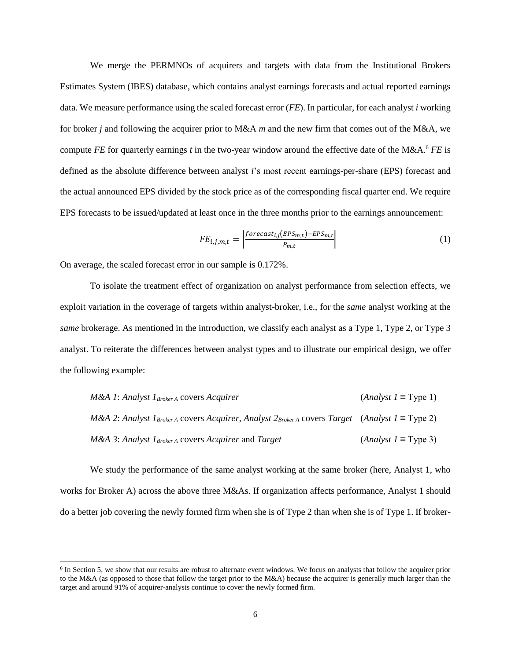We merge the PERMNOs of acquirers and targets with data from the Institutional Brokers Estimates System (IBES) database, which contains analyst earnings forecasts and actual reported earnings data. We measure performance using the scaled forecast error (*FE*). In particular, for each analyst *i* working for broker *j* and following the acquirer prior to M&A *m* and the new firm that comes out of the M&A, we compute *FE* for quarterly earnings *t* in the two-year window around the effective date of the M&A. <sup>6</sup> *FE* is defined as the absolute difference between analyst *i*'s most recent earnings-per-share (EPS) forecast and the actual announced EPS divided by the stock price as of the corresponding fiscal quarter end. We require EPS forecasts to be issued/updated at least once in the three months prior to the earnings announcement:

$$
FE_{i,j,m,t} = \left| \frac{foreast_{i,j}(EPS_{m,t}) - EPS_{m,t}}{P_{m,t}} \right| \tag{1}
$$

On average, the scaled forecast error in our sample is 0.172%.

 $\overline{a}$ 

To isolate the treatment effect of organization on analyst performance from selection effects, we exploit variation in the coverage of targets within analyst-broker, i.e., for the *same* analyst working at the *same* brokerage. As mentioned in the introduction, we classify each analyst as a Type 1, Type 2, or Type 3 analyst. To reiterate the differences between analyst types and to illustrate our empirical design, we offer the following example:

| $M&A$ 1: Analyst $I_{\text{Broke }A}$ covers Acquirer                                                                                                           | $(Analyst I \equiv Type 1)$ |
|-----------------------------------------------------------------------------------------------------------------------------------------------------------------|-----------------------------|
| <i>M&amp;A 2: Analyst 1</i> <sub>Broker</sub> A covers <i>Acquirer</i> , <i>Analyst 2</i> <sub>Broker</sub> A covers <i>Target</i> ( <i>Analyst 1</i> = Type 2) |                             |
| <i>M&amp;A 3: Analyst <math>I_{BrokeA}</math> covers Acquirer and Target</i>                                                                                    | $(Analyst I \equiv Type 3)$ |

We study the performance of the same analyst working at the same broker (here, Analyst 1, who works for Broker A) across the above three M&As. If organization affects performance, Analyst 1 should do a better job covering the newly formed firm when she is of Type 2 than when she is of Type 1. If broker-

<sup>&</sup>lt;sup>6</sup> In Section 5, we show that our results are robust to alternate event windows. We focus on analysts that follow the acquirer prior to the M&A (as opposed to those that follow the target prior to the M&A) because the acquirer is generally much larger than the target and around 91% of acquirer-analysts continue to cover the newly formed firm.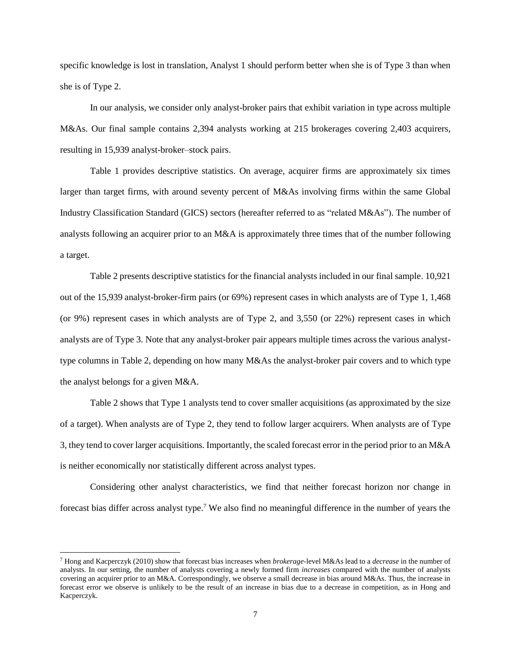specific knowledge is lost in translation, Analyst 1 should perform better when she is of Type 3 than when she is of Type 2.

In our analysis, we consider only analyst-broker pairs that exhibit variation in type across multiple M&As. Our final sample contains 2,394 analysts working at 215 brokerages covering 2,403 acquirers, resulting in 15,939 analyst-broker–stock pairs.

Table 1 provides descriptive statistics. On average, acquirer firms are approximately six times larger than target firms, with around seventy percent of M&As involving firms within the same Global Industry Classification Standard (GICS) sectors (hereafter referred to as "related M&As"). The number of analysts following an acquirer prior to an M&A is approximately three times that of the number following a target.

Table 2 presents descriptive statistics for the financial analysts included in our final sample. 10,921 out of the 15,939 analyst-broker-firm pairs (or 69%) represent cases in which analysts are of Type 1, 1,468 (or 9%) represent cases in which analysts are of Type 2, and 3,550 (or 22%) represent cases in which analysts are of Type 3. Note that any analyst-broker pair appears multiple times across the various analysttype columns in Table 2, depending on how many M&As the analyst-broker pair covers and to which type the analyst belongs for a given M&A.

Table 2 shows that Type 1 analysts tend to cover smaller acquisitions (as approximated by the size of a target). When analysts are of Type 2, they tend to follow larger acquirers. When analysts are of Type 3, they tend to cover larger acquisitions. Importantly, the scaled forecast error in the period prior to an M&A is neither economically nor statistically different across analyst types.

Considering other analyst characteristics, we find that neither forecast horizon nor change in forecast bias differ across analyst type.<sup>7</sup> We also find no meaningful difference in the number of years the

 $\overline{\phantom{a}}$ 

<sup>7</sup> Hong and Kacperczyk (2010) show that forecast bias increases when *brokerage*-level M&As lead to a *decrease* in the number of analysts. In our setting, the number of analysts covering a newly formed firm *increases* compared with the number of analysts covering an acquirer prior to an M&A. Correspondingly, we observe a small decrease in bias around M&As. Thus, the increase in forecast error we observe is unlikely to be the result of an increase in bias due to a decrease in competition, as in Hong and Kacperczyk.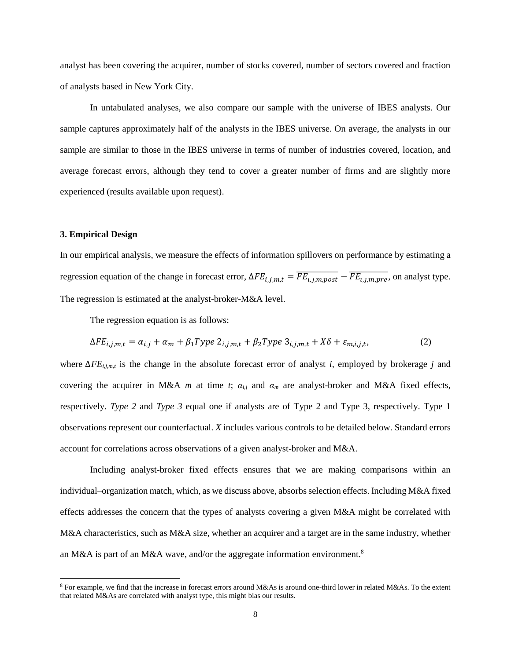analyst has been covering the acquirer, number of stocks covered, number of sectors covered and fraction of analysts based in New York City.

In untabulated analyses, we also compare our sample with the universe of IBES analysts. Our sample captures approximately half of the analysts in the IBES universe. On average, the analysts in our sample are similar to those in the IBES universe in terms of number of industries covered, location, and average forecast errors, although they tend to cover a greater number of firms and are slightly more experienced (results available upon request).

#### **3. Empirical Design**

 $\overline{\phantom{a}}$ 

In our empirical analysis, we measure the effects of information spillovers on performance by estimating a regression equation of the change in forecast error,  $\Delta FE_{i,j,m,t} = \overline{FE_{i,j,m,post}} - \overline{FE_{i,j,m,pre}}$ , on analyst type. The regression is estimated at the analyst-broker-M&A level.

The regression equation is as follows:

$$
\Delta FE_{i,j,m,t} = \alpha_{i,j} + \alpha_m + \beta_1 Type \ 2_{i,j,m,t} + \beta_2 Type \ 3_{i,j,m,t} + X\delta + \varepsilon_{m,i,j,t},\tag{2}
$$

where ∆*FEi,j,m,t* is the change in the absolute forecast error of analyst *i*, employed by brokerage *j* and covering the acquirer in M&A *m* at time *t*; *αi,j* and *α<sup>m</sup>* are analyst-broker and M&A fixed effects, respectively. *Type 2* and *Type 3* equal one if analysts are of Type 2 and Type 3, respectively. Type 1 observations represent our counterfactual. *X* includes various controls to be detailed below. Standard errors account for correlations across observations of a given analyst-broker and M&A.

Including analyst-broker fixed effects ensures that we are making comparisons within an individual–organization match, which, as we discuss above, absorbsselection effects. Including M&A fixed effects addresses the concern that the types of analysts covering a given M&A might be correlated with M&A characteristics, such as M&A size, whether an acquirer and a target are in the same industry, whether an M&A is part of an M&A wave, and/or the aggregate information environment.<sup>8</sup>

<sup>8</sup> For example, we find that the increase in forecast errors around M&As is around one-third lower in related M&As. To the extent that related M&As are correlated with analyst type, this might bias our results.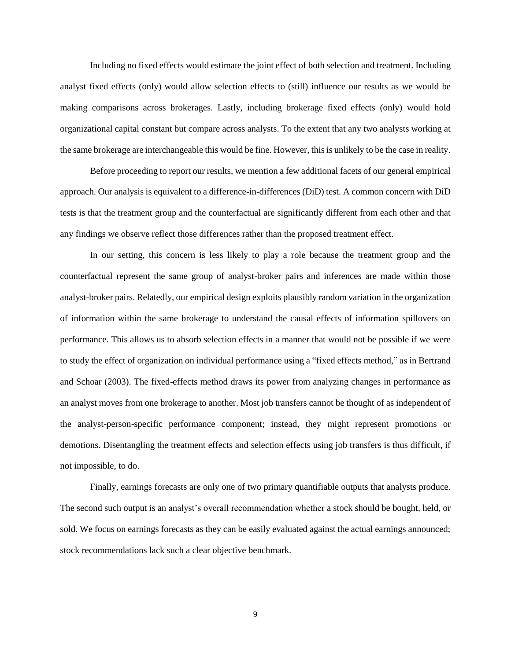Including no fixed effects would estimate the joint effect of both selection and treatment. Including analyst fixed effects (only) would allow selection effects to (still) influence our results as we would be making comparisons across brokerages. Lastly, including brokerage fixed effects (only) would hold organizational capital constant but compare across analysts. To the extent that any two analysts working at the same brokerage are interchangeable this would be fine. However, this is unlikely to be the case in reality.

Before proceeding to report our results, we mention a few additional facets of our general empirical approach. Our analysis is equivalent to a difference-in-differences (DiD) test. A common concern with DiD tests is that the treatment group and the counterfactual are significantly different from each other and that any findings we observe reflect those differences rather than the proposed treatment effect.

In our setting, this concern is less likely to play a role because the treatment group and the counterfactual represent the same group of analyst-broker pairs and inferences are made within those analyst-broker pairs. Relatedly, our empirical design exploits plausibly random variation in the organization of information within the same brokerage to understand the causal effects of information spillovers on performance. This allows us to absorb selection effects in a manner that would not be possible if we were to study the effect of organization on individual performance using a "fixed effects method," as in Bertrand and Schoar (2003). The fixed-effects method draws its power from analyzing changes in performance as an analyst moves from one brokerage to another. Most job transfers cannot be thought of as independent of the analyst-person-specific performance component; instead, they might represent promotions or demotions. Disentangling the treatment effects and selection effects using job transfers is thus difficult, if not impossible, to do.

Finally, earnings forecasts are only one of two primary quantifiable outputs that analysts produce. The second such output is an analyst's overall recommendation whether a stock should be bought, held, or sold. We focus on earnings forecasts as they can be easily evaluated against the actual earnings announced; stock recommendations lack such a clear objective benchmark.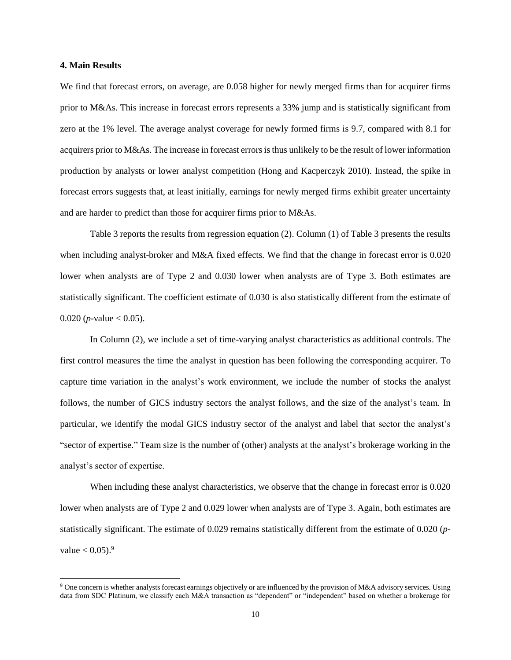#### **4. Main Results**

 $\overline{\phantom{a}}$ 

We find that forecast errors, on average, are 0.058 higher for newly merged firms than for acquirer firms prior to M&As. This increase in forecast errors represents a 33% jump and is statistically significant from zero at the 1% level. The average analyst coverage for newly formed firms is 9.7, compared with 8.1 for acquirers prior to M&As. The increase in forecast errors is thus unlikely to be the result of lower information production by analysts or lower analyst competition (Hong and Kacperczyk 2010). Instead, the spike in forecast errors suggests that, at least initially, earnings for newly merged firms exhibit greater uncertainty and are harder to predict than those for acquirer firms prior to M&As.

Table 3 reports the results from regression equation (2). Column (1) of Table 3 presents the results when including analyst-broker and M&A fixed effects. We find that the change in forecast error is 0.020 lower when analysts are of Type 2 and 0.030 lower when analysts are of Type 3. Both estimates are statistically significant. The coefficient estimate of 0.030 is also statistically different from the estimate of 0.020 (*p*-value  $<$  0.05).

In Column (2), we include a set of time-varying analyst characteristics as additional controls. The first control measures the time the analyst in question has been following the corresponding acquirer. To capture time variation in the analyst's work environment, we include the number of stocks the analyst follows, the number of GICS industry sectors the analyst follows, and the size of the analyst's team. In particular, we identify the modal GICS industry sector of the analyst and label that sector the analyst's "sector of expertise." Team size is the number of (other) analysts at the analyst's brokerage working in the analyst's sector of expertise.

When including these analyst characteristics, we observe that the change in forecast error is 0.020 lower when analysts are of Type 2 and 0.029 lower when analysts are of Type 3. Again, both estimates are statistically significant. The estimate of 0.029 remains statistically different from the estimate of 0.020 (*p*value  $< 0.05$ ).<sup>9</sup>

<sup>9</sup> One concern is whether analysts forecast earnings objectively or are influenced by the provision of M&A advisory services. Using data from SDC Platinum, we classify each M&A transaction as "dependent" or "independent" based on whether a brokerage for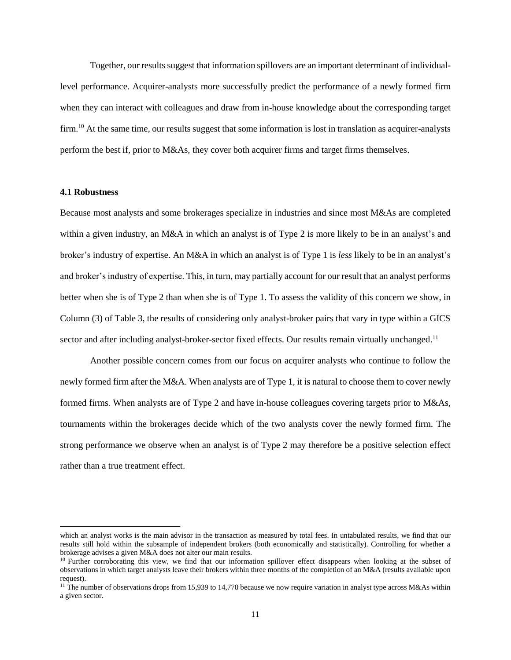Together, our results suggest that information spillovers are an important determinant of individuallevel performance. Acquirer-analysts more successfully predict the performance of a newly formed firm when they can interact with colleagues and draw from in-house knowledge about the corresponding target firm.<sup>10</sup> At the same time, our results suggest that some information is lost in translation as acquirer-analysts perform the best if, prior to M&As, they cover both acquirer firms and target firms themselves.

# **4.1 Robustness**

 $\overline{\phantom{a}}$ 

Because most analysts and some brokerages specialize in industries and since most M&As are completed within a given industry, an M&A in which an analyst is of Type 2 is more likely to be in an analyst's and broker's industry of expertise. An M&A in which an analyst is of Type 1 is *less* likely to be in an analyst's and broker's industry of expertise. This, in turn, may partially account for our result that an analyst performs better when she is of Type 2 than when she is of Type 1. To assess the validity of this concern we show, in Column (3) of Table 3, the results of considering only analyst-broker pairs that vary in type within a GICS sector and after including analyst-broker-sector fixed effects. Our results remain virtually unchanged.<sup>11</sup>

Another possible concern comes from our focus on acquirer analysts who continue to follow the newly formed firm after the M&A. When analysts are of Type 1, it is natural to choose them to cover newly formed firms. When analysts are of Type 2 and have in-house colleagues covering targets prior to M&As, tournaments within the brokerages decide which of the two analysts cover the newly formed firm. The strong performance we observe when an analyst is of Type 2 may therefore be a positive selection effect rather than a true treatment effect.

which an analyst works is the main advisor in the transaction as measured by total fees. In untabulated results, we find that our results still hold within the subsample of independent brokers (both economically and statistically). Controlling for whether a brokerage advises a given M&A does not alter our main results.

 $10$  Further corroborating this view, we find that our information spillover effect disappears when looking at the subset of observations in which target analysts leave their brokers within three months of the completion of an M&A (results available upon request).

<sup>&</sup>lt;sup>11</sup> The number of observations drops from 15,939 to 14,770 because we now require variation in analyst type across M&As within a given sector.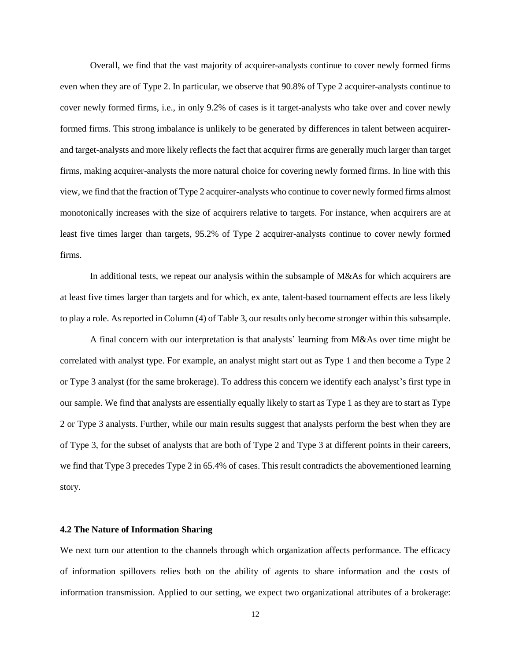Overall, we find that the vast majority of acquirer-analysts continue to cover newly formed firms even when they are of Type 2. In particular, we observe that 90.8% of Type 2 acquirer-analysts continue to cover newly formed firms, i.e., in only 9.2% of cases is it target-analysts who take over and cover newly formed firms. This strong imbalance is unlikely to be generated by differences in talent between acquirerand target-analysts and more likely reflects the fact that acquirer firms are generally much larger than target firms, making acquirer-analysts the more natural choice for covering newly formed firms. In line with this view, we find that the fraction of Type 2 acquirer-analysts who continue to cover newly formed firms almost monotonically increases with the size of acquirers relative to targets. For instance, when acquirers are at least five times larger than targets, 95.2% of Type 2 acquirer-analysts continue to cover newly formed firms.

In additional tests, we repeat our analysis within the subsample of M&As for which acquirers are at least five times larger than targets and for which, ex ante, talent-based tournament effects are less likely to play a role. As reported in Column (4) of Table 3, our results only become stronger within this subsample.

A final concern with our interpretation is that analysts' learning from M&As over time might be correlated with analyst type. For example, an analyst might start out as Type 1 and then become a Type 2 or Type 3 analyst (for the same brokerage). To address this concern we identify each analyst's first type in our sample. We find that analysts are essentially equally likely to start as Type 1 as they are to start as Type 2 or Type 3 analysts. Further, while our main results suggest that analysts perform the best when they are of Type 3, for the subset of analysts that are both of Type 2 and Type 3 at different points in their careers, we find that Type 3 precedes Type 2 in 65.4% of cases. This result contradicts the abovementioned learning story.

#### **4.2 The Nature of Information Sharing**

We next turn our attention to the channels through which organization affects performance. The efficacy of information spillovers relies both on the ability of agents to share information and the costs of information transmission. Applied to our setting, we expect two organizational attributes of a brokerage: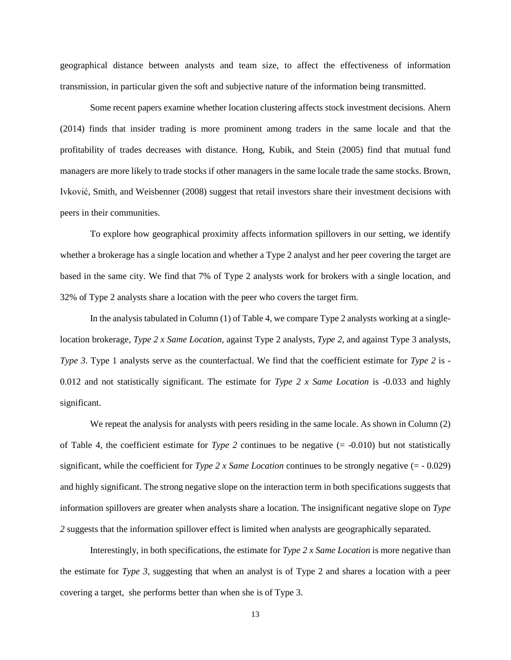geographical distance between analysts and team size, to affect the effectiveness of information transmission, in particular given the soft and subjective nature of the information being transmitted.

Some recent papers examine whether location clustering affects stock investment decisions. Ahern (2014) finds that insider trading is more prominent among traders in the same locale and that the profitability of trades decreases with distance. Hong, Kubik, and Stein (2005) find that mutual fund managers are more likely to trade stocks if other managers in the same locale trade the same stocks. Brown, Ivković, Smith, and Weisbenner (2008) suggest that retail investors share their investment decisions with peers in their communities.

To explore how geographical proximity affects information spillovers in our setting, we identify whether a brokerage has a single location and whether a Type 2 analyst and her peer covering the target are based in the same city. We find that 7% of Type 2 analysts work for brokers with a single location, and 32% of Type 2 analysts share a location with the peer who covers the target firm.

In the analysis tabulated in Column (1) of Table 4, we compare Type 2 analysts working at a singlelocation brokerage, *Type 2 x Same Location*, against Type 2 analysts, *Type 2*, and against Type 3 analysts, *Type 3*. Type 1 analysts serve as the counterfactual. We find that the coefficient estimate for *Type 2* is -0.012 and not statistically significant. The estimate for *Type 2 x Same Location* is -0.033 and highly significant.

We repeat the analysis for analysts with peers residing in the same locale. As shown in Column (2) of Table 4, the coefficient estimate for *Type 2* continues to be negative  $(= -0.010)$  but not statistically significant, while the coefficient for *Type 2 x Same Location* continues to be strongly negative (= - 0.029) and highly significant. The strong negative slope on the interaction term in both specifications suggests that information spillovers are greater when analysts share a location. The insignificant negative slope on *Type 2* suggests that the information spillover effect is limited when analysts are geographically separated.

Interestingly, in both specifications, the estimate for *Type 2 x Same Location* is more negative than the estimate for *Type 3*, suggesting that when an analyst is of Type 2 and shares a location with a peer covering a target, she performs better than when she is of Type 3.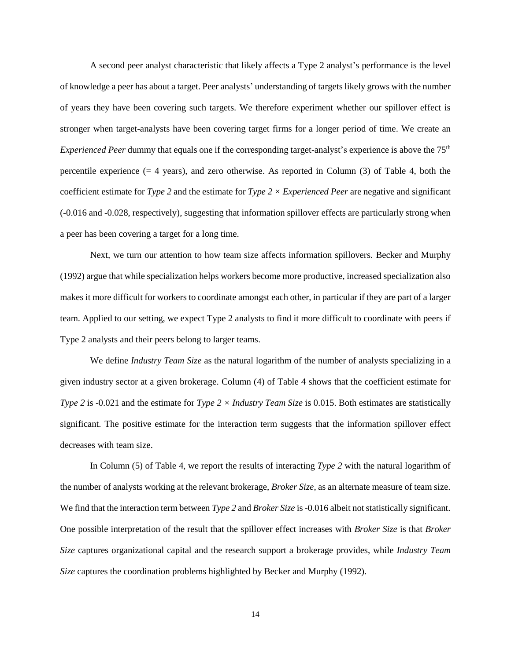A second peer analyst characteristic that likely affects a Type 2 analyst's performance is the level of knowledge a peer has about a target. Peer analysts' understanding of targetslikely grows with the number of years they have been covering such targets. We therefore experiment whether our spillover effect is stronger when target-analysts have been covering target firms for a longer period of time. We create an *Experienced Peer* dummy that equals one if the corresponding target-analyst's experience is above the 75<sup>th</sup> percentile experience (= 4 years), and zero otherwise. As reported in Column (3) of Table 4, both the coefficient estimate for *Type 2* and the estimate for *Type 2 × Experienced Peer* are negative and significant (-0.016 and -0.028, respectively), suggesting that information spillover effects are particularly strong when a peer has been covering a target for a long time.

Next, we turn our attention to how team size affects information spillovers. Becker and Murphy (1992) argue that while specialization helps workers become more productive, increased specialization also makes it more difficult for workers to coordinate amongst each other, in particular if they are part of a larger team. Applied to our setting, we expect Type 2 analysts to find it more difficult to coordinate with peers if Type 2 analysts and their peers belong to larger teams.

We define *Industry Team Size* as the natural logarithm of the number of analysts specializing in a given industry sector at a given brokerage. Column (4) of Table 4 shows that the coefficient estimate for *Type 2* is -0.021 and the estimate for *Type 2 × Industry Team Size* is 0.015. Both estimates are statistically significant. The positive estimate for the interaction term suggests that the information spillover effect decreases with team size.

In Column (5) of Table 4, we report the results of interacting *Type 2* with the natural logarithm of the number of analysts working at the relevant brokerage, *Broker Size*, as an alternate measure of team size. We find that the interaction term between *Type 2* and *Broker Size* is -0.016 albeit not statistically significant. One possible interpretation of the result that the spillover effect increases with *Broker Size* is that *Broker Size* captures organizational capital and the research support a brokerage provides, while *Industry Team Size* captures the coordination problems highlighted by Becker and Murphy (1992).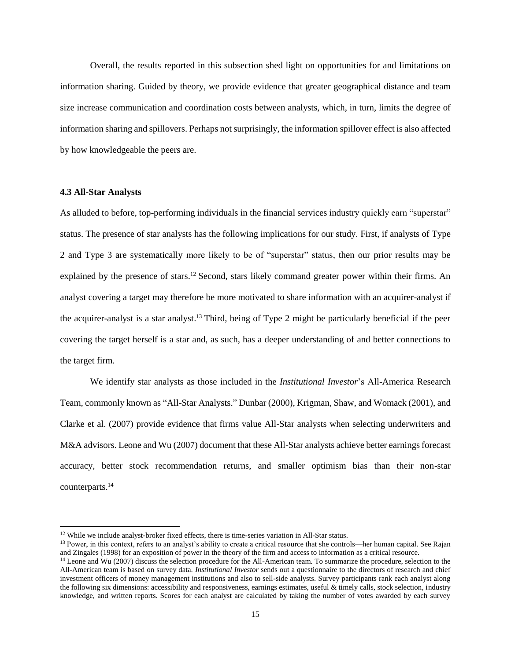Overall, the results reported in this subsection shed light on opportunities for and limitations on information sharing. Guided by theory, we provide evidence that greater geographical distance and team size increase communication and coordination costs between analysts, which, in turn, limits the degree of information sharing and spillovers. Perhaps not surprisingly, the information spillover effect is also affected by how knowledgeable the peers are.

# **4.3 All-Star Analysts**

 $\overline{\phantom{a}}$ 

As alluded to before, top-performing individuals in the financial services industry quickly earn "superstar" status. The presence of star analysts has the following implications for our study. First, if analysts of Type 2 and Type 3 are systematically more likely to be of "superstar" status, then our prior results may be explained by the presence of stars.<sup>12</sup> Second, stars likely command greater power within their firms. An analyst covering a target may therefore be more motivated to share information with an acquirer-analyst if the acquirer-analyst is a star analyst. <sup>13</sup> Third, being of Type 2 might be particularly beneficial if the peer covering the target herself is a star and, as such, has a deeper understanding of and better connections to the target firm.

We identify star analysts as those included in the *Institutional Investor*'s All-America Research Team, commonly known as "All-Star Analysts." Dunbar (2000), Krigman, Shaw, and Womack (2001), and Clarke et al. (2007) provide evidence that firms value All-Star analysts when selecting underwriters and M&A advisors. Leone and Wu (2007) document that these All-Star analysts achieve better earnings forecast accuracy, better stock recommendation returns, and smaller optimism bias than their non-star counterparts.<sup>14</sup>

<sup>&</sup>lt;sup>12</sup> While we include analyst-broker fixed effects, there is time-series variation in All-Star status.

<sup>&</sup>lt;sup>13</sup> Power, in this context, refers to an analyst's ability to create a critical resource that she controls—her human capital. See Rajan and Zingales (1998) for an exposition of power in the theory of the firm and access to information as a critical resource.

<sup>&</sup>lt;sup>14</sup> Leone and Wu (2007) discuss the selection procedure for the All-American team. To summarize the procedure, selection to the All-American team is based on survey data. *Institutional Investor* sends out a questionnaire to the directors of research and chief investment officers of money management institutions and also to sell-side analysts. Survey participants rank each analyst along the following six dimensions: accessibility and responsiveness, earnings estimates, useful  $\&$  timely calls, stock selection, industry knowledge, and written reports. Scores for each analyst are calculated by taking the number of votes awarded by each survey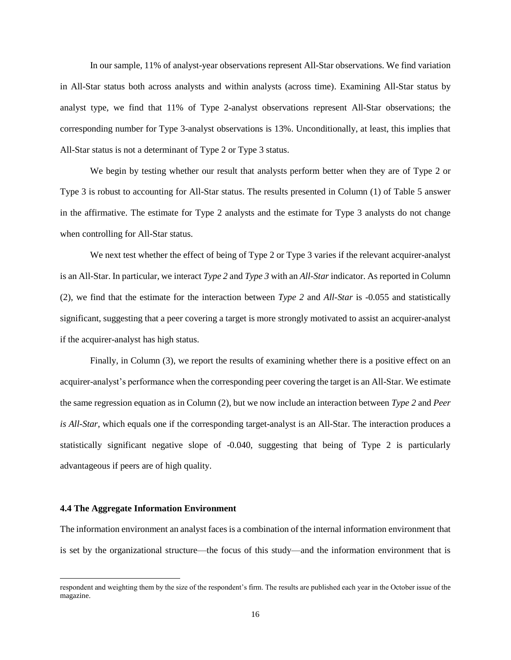In our sample, 11% of analyst-year observations represent All-Star observations. We find variation in All-Star status both across analysts and within analysts (across time). Examining All-Star status by analyst type, we find that 11% of Type 2-analyst observations represent All-Star observations; the corresponding number for Type 3-analyst observations is 13%. Unconditionally, at least, this implies that All-Star status is not a determinant of Type 2 or Type 3 status.

We begin by testing whether our result that analysts perform better when they are of Type 2 or Type 3 is robust to accounting for All-Star status. The results presented in Column (1) of Table 5 answer in the affirmative. The estimate for Type 2 analysts and the estimate for Type 3 analysts do not change when controlling for All-Star status.

We next test whether the effect of being of Type 2 or Type 3 varies if the relevant acquirer-analyst is an All-Star. In particular, we interact *Type 2* and *Type 3* with an *All-Star* indicator. As reported in Column (2), we find that the estimate for the interaction between *Type 2* and *All-Star* is -0.055 and statistically significant, suggesting that a peer covering a target is more strongly motivated to assist an acquirer-analyst if the acquirer-analyst has high status.

Finally, in Column (3), we report the results of examining whether there is a positive effect on an acquirer-analyst's performance when the corresponding peer covering the target is an All-Star. We estimate the same regression equation as in Column (2), but we now include an interaction between *Type 2* and *Peer is All-Star*, which equals one if the corresponding target-analyst is an All-Star. The interaction produces a statistically significant negative slope of -0.040, suggesting that being of Type 2 is particularly advantageous if peers are of high quality.

#### **4.4 The Aggregate Information Environment**

 $\overline{\phantom{a}}$ 

The information environment an analyst faces is a combination of the internal information environment that is set by the organizational structure—the focus of this study—and the information environment that is

respondent and weighting them by the size of the respondent's firm. The results are published each year in the October issue of the magazine.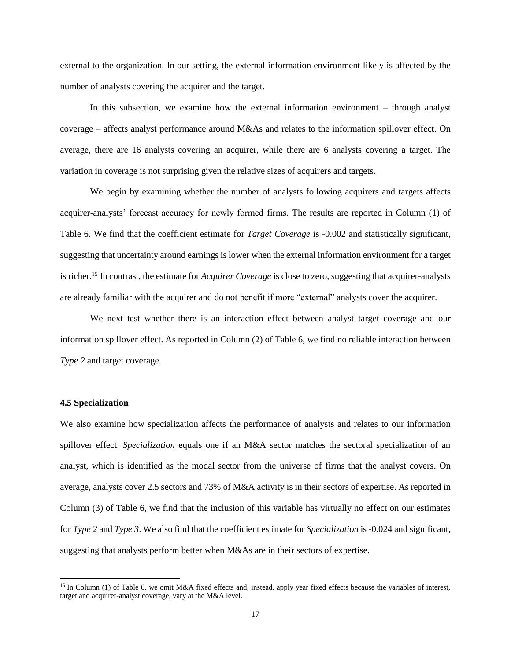external to the organization. In our setting, the external information environment likely is affected by the number of analysts covering the acquirer and the target.

In this subsection, we examine how the external information environment – through analyst coverage – affects analyst performance around M&As and relates to the information spillover effect. On average, there are 16 analysts covering an acquirer, while there are 6 analysts covering a target. The variation in coverage is not surprising given the relative sizes of acquirers and targets.

We begin by examining whether the number of analysts following acquirers and targets affects acquirer-analysts' forecast accuracy for newly formed firms. The results are reported in Column (1) of Table 6. We find that the coefficient estimate for *Target Coverage* is -0.002 and statistically significant, suggesting that uncertainty around earnings is lower when the external information environment for a target is richer. <sup>15</sup> In contrast, the estimate for *Acquirer Coverage* is close to zero, suggesting that acquirer-analysts are already familiar with the acquirer and do not benefit if more "external" analysts cover the acquirer.

We next test whether there is an interaction effect between analyst target coverage and our information spillover effect. As reported in Column (2) of Table 6, we find no reliable interaction between *Type 2* and target coverage.

### **4.5 Specialization**

 $\overline{\phantom{a}}$ 

We also examine how specialization affects the performance of analysts and relates to our information spillover effect. *Specialization* equals one if an M&A sector matches the sectoral specialization of an analyst, which is identified as the modal sector from the universe of firms that the analyst covers. On average, analysts cover 2.5 sectors and 73% of M&A activity is in their sectors of expertise. As reported in Column (3) of Table 6, we find that the inclusion of this variable has virtually no effect on our estimates for *Type 2* and *Type 3*. We also find that the coefficient estimate for *Specialization* is -0.024 and significant, suggesting that analysts perform better when M&As are in their sectors of expertise.

<sup>15</sup> In Column (1) of Table 6, we omit M&A fixed effects and, instead, apply year fixed effects because the variables of interest, target and acquirer-analyst coverage, vary at the M&A level.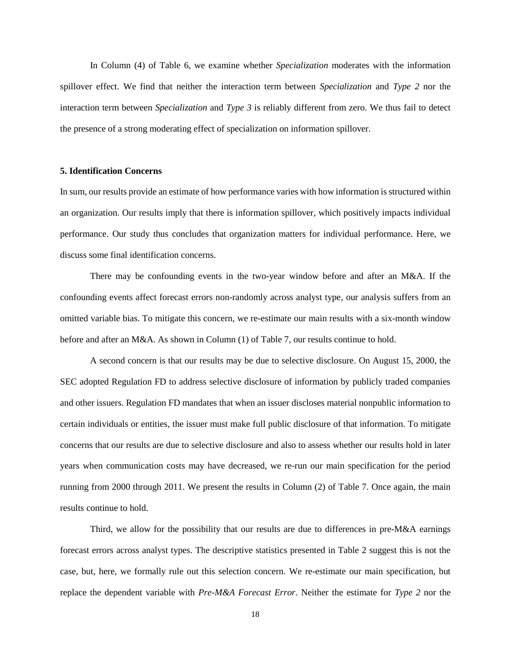In Column (4) of Table 6, we examine whether *Specialization* moderates with the information spillover effect. We find that neither the interaction term between *Specialization* and *Type 2* nor the interaction term between *Specialization* and *Type 3* is reliably different from zero. We thus fail to detect the presence of a strong moderating effect of specialization on information spillover.

# **5. Identification Concerns**

In sum, our results provide an estimate of how performance varies with how information is structured within an organization. Our results imply that there is information spillover, which positively impacts individual performance. Our study thus concludes that organization matters for individual performance. Here, we discuss some final identification concerns.

There may be confounding events in the two-year window before and after an M&A. If the confounding events affect forecast errors non-randomly across analyst type, our analysis suffers from an omitted variable bias. To mitigate this concern, we re-estimate our main results with a six-month window before and after an M&A. As shown in Column (1) of Table 7, our results continue to hold.

A second concern is that our results may be due to selective disclosure. On August 15, 2000, the SEC adopted Regulation FD to address selective disclosure of information by publicly traded companies and other issuers. Regulation FD mandates that when an issuer discloses material nonpublic information to certain individuals or entities, the issuer must make full public disclosure of that information. To mitigate concerns that our results are due to selective disclosure and also to assess whether our results hold in later years when communication costs may have decreased, we re-run our main specification for the period running from 2000 through 2011. We present the results in Column (2) of Table 7. Once again, the main results continue to hold.

Third, we allow for the possibility that our results are due to differences in pre-M&A earnings forecast errors across analyst types. The descriptive statistics presented in Table 2 suggest this is not the case, but, here, we formally rule out this selection concern. We re-estimate our main specification, but replace the dependent variable with *Pre-M&A Forecast Error*. Neither the estimate for *Type 2* nor the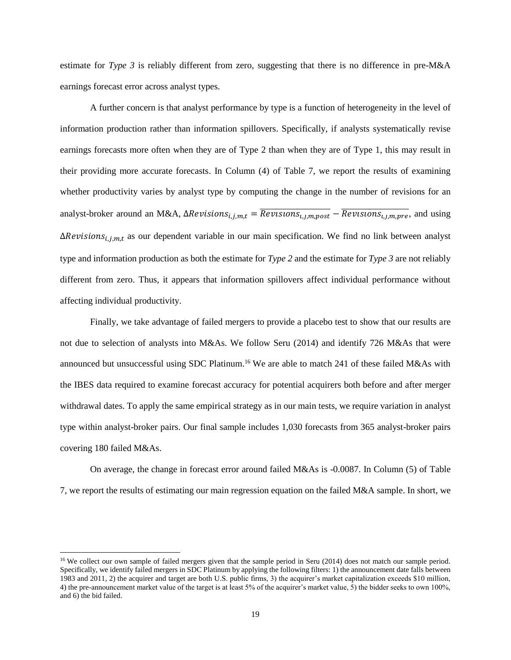estimate for *Type 3* is reliably different from zero, suggesting that there is no difference in pre-M&A earnings forecast error across analyst types.

A further concern is that analyst performance by type is a function of heterogeneity in the level of information production rather than information spillovers. Specifically, if analysts systematically revise earnings forecasts more often when they are of Type 2 than when they are of Type 1, this may result in their providing more accurate forecasts. In Column (4) of Table 7, we report the results of examining whether productivity varies by analyst type by computing the change in the number of revisions for an analyst-broker around an M&A,  $\Delta Revisions_{i,j,m,t} = \overline{Revisions}_{i,j,m,post} - \overline{Revisions}_{i,j,m,pre}$ , and using  $\Delta Revisions_{i,j,m,t}$  as our dependent variable in our main specification. We find no link between analyst type and information production as both the estimate for *Type 2* and the estimate for *Type 3* are not reliably different from zero. Thus, it appears that information spillovers affect individual performance without affecting individual productivity.

Finally, we take advantage of failed mergers to provide a placebo test to show that our results are not due to selection of analysts into M&As. We follow Seru (2014) and identify 726 M&As that were announced but unsuccessful using SDC Platinum.<sup>16</sup> We are able to match 241 of these failed M&As with the IBES data required to examine forecast accuracy for potential acquirers both before and after merger withdrawal dates. To apply the same empirical strategy as in our main tests, we require variation in analyst type within analyst-broker pairs. Our final sample includes 1,030 forecasts from 365 analyst-broker pairs covering 180 failed M&As.

On average, the change in forecast error around failed M&As is -0.0087. In Column (5) of Table 7, we report the results of estimating our main regression equation on the failed M&A sample. In short, we

 $\overline{\phantom{a}}$ 

<sup>&</sup>lt;sup>16</sup> We collect our own sample of failed mergers given that the sample period in Seru (2014) does not match our sample period. Specifically, we identify failed mergers in SDC Platinum by applying the following filters: 1) the announcement date falls between 1983 and 2011, 2) the acquirer and target are both U.S. public firms, 3) the acquirer's market capitalization exceeds \$10 million, 4) the pre-announcement market value of the target is at least 5% of the acquirer's market value, 5) the bidder seeks to own 100%, and 6) the bid failed.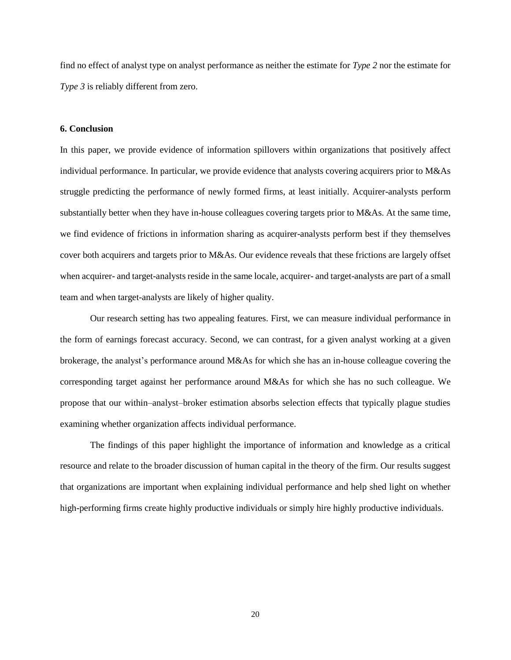find no effect of analyst type on analyst performance as neither the estimate for *Type 2* nor the estimate for *Type 3* is reliably different from zero.

# **6. Conclusion**

In this paper, we provide evidence of information spillovers within organizations that positively affect individual performance. In particular, we provide evidence that analysts covering acquirers prior to M&As struggle predicting the performance of newly formed firms, at least initially. Acquirer-analysts perform substantially better when they have in-house colleagues covering targets prior to M&As. At the same time, we find evidence of frictions in information sharing as acquirer-analysts perform best if they themselves cover both acquirers and targets prior to M&As. Our evidence reveals that these frictions are largely offset when acquirer- and target-analysts reside in the same locale, acquirer- and target-analysts are part of a small team and when target-analysts are likely of higher quality.

Our research setting has two appealing features. First, we can measure individual performance in the form of earnings forecast accuracy. Second, we can contrast, for a given analyst working at a given brokerage, the analyst's performance around M&As for which she has an in-house colleague covering the corresponding target against her performance around M&As for which she has no such colleague. We propose that our within–analyst–broker estimation absorbs selection effects that typically plague studies examining whether organization affects individual performance.

The findings of this paper highlight the importance of information and knowledge as a critical resource and relate to the broader discussion of human capital in the theory of the firm. Our results suggest that organizations are important when explaining individual performance and help shed light on whether high-performing firms create highly productive individuals or simply hire highly productive individuals.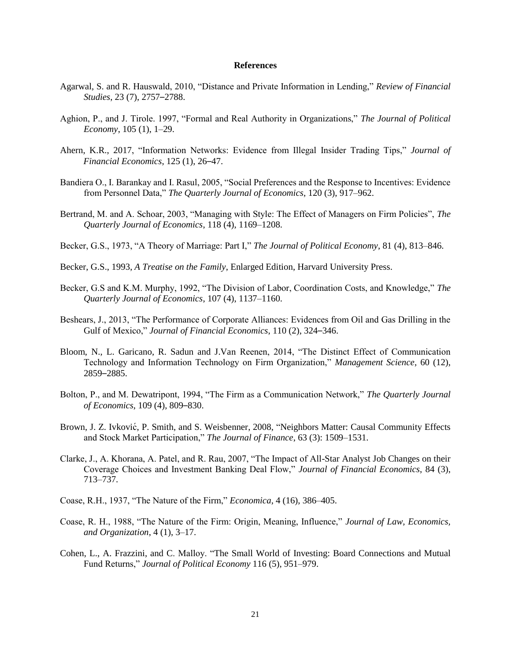#### **References**

- Agarwal, S. and R. Hauswald, 2010, "Distance and Private Information in Lending," *Review of Financial Studies*, 23 (7), 2757–2788.
- Aghion, P., and J. Tirole. 1997, "Formal and Real Authority in Organizations," *The Journal of Political Economy*, 105 (1), 1–29.
- Ahern, K.R., 2017, "Information Networks: Evidence from Illegal Insider Trading Tips," *Journal of Financial Economics*, 125 (1), 26–47.
- Bandiera O., I. Barankay and I. Rasul, 2005, "Social Preferences and the Response to Incentives: Evidence from Personnel Data," *The Quarterly Journal of Economics*, 120 (3), 917–962.
- Bertrand, M. and A. Schoar, 2003, "Managing with Style: The Effect of Managers on Firm Policies", *The Quarterly Journal of Economics*, 118 (4), 1169–1208.
- Becker, G.S., 1973, "A Theory of Marriage: Part I," *The Journal of Political Economy*, 81 (4), 813–846.
- Becker, G.S., 1993, *A Treatise on the Family*, Enlarged Edition, Harvard University Press.
- Becker, G.S and K.M. Murphy, 1992, "The Division of Labor, Coordination Costs, and Knowledge," *The Quarterly Journal of Economics*, 107 (4), 1137–1160.
- Beshears, J., 2013, "The Performance of Corporate Alliances: Evidences from Oil and Gas Drilling in the Gulf of Mexico," *Journal of Financial Economics*, 110 (2), 324–346.
- Bloom, N., L. Garicano, R. Sadun and J.Van Reenen, 2014, "The Distinct Effect of Communication Technology and Information Technology on Firm Organization," *Management Science*, 60 (12), 2859–2885.
- Bolton, P., and M. Dewatripont, 1994, "The Firm as a Communication Network," *The Quarterly Journal of Economics*, 109 (4), 809–830.
- Brown, J. Z. Ivković , P. Smith, and S. Weisbenner, 2008, "Neighbors Matter: Causal Community Effects and Stock Market Participation," *The Journal of Finance*, 63 (3): 1509–1531.
- Clarke, J., A. Khorana, A. Patel, and R. Rau, 2007, "The Impact of All-Star Analyst Job Changes on their Coverage Choices and Investment Banking Deal Flow," *Journal of Financial Economics*, 84 (3), 713–737.
- Coase, R.H., 1937, "The Nature of the Firm," *Economica*, 4 (16), 386–405.
- Coase, R. H., 1988, "The Nature of the Firm: Origin, Meaning, Influence," *Journal of Law, Economics, and Organization*, 4 (1), 3–17.
- Cohen, L., A. Frazzini, and C. Malloy. "The Small World of Investing: Board Connections and Mutual Fund Returns," *Journal of Political Economy* 116 (5), 951–979.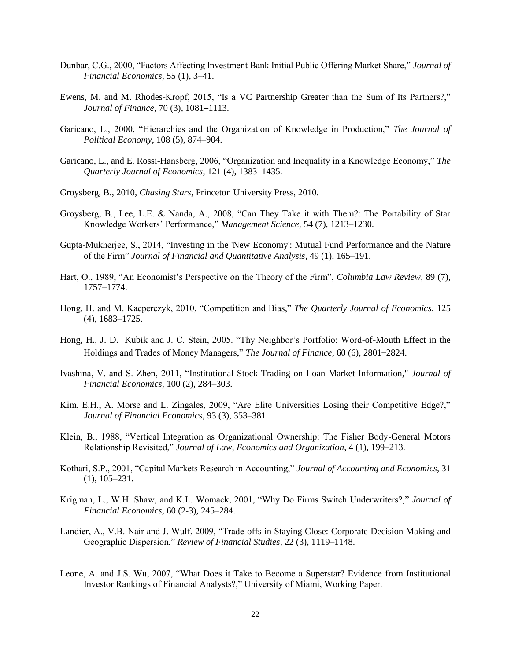- Dunbar, C.G., 2000, "Factors Affecting Investment Bank Initial Public Offering Market Share," *Journal of Financial Economics*, 55 (1), 3–41.
- Ewens, M. and M. Rhodes-Kropf, 2015, "Is a VC Partnership Greater than the Sum of Its Partners?," *Journal of Finance*, 70 (3), 1081–1113.
- Garicano, L., 2000, "Hierarchies and the Organization of Knowledge in Production," *The Journal of Political Economy*, 108 (5), 874–904.
- Garicano, L., and E. Rossi-Hansberg, 2006, "Organization and Inequality in a Knowledge Economy," *The Quarterly Journal of Economics*, 121 (4), 1383–1435.
- Groysberg, B., 2010, *Chasing Stars*, Princeton University Press, 2010.
- Groysberg, B., Lee, L.E. & Nanda, A., 2008, "Can They Take it with Them?: The Portability of Star Knowledge Workers' Performance," *Management Science*, 54 (7), 1213–1230.
- Gupta-Mukherjee, S., 2014, "Investing in the 'New Economy': Mutual Fund Performance and the Nature of the Firm" *Journal of Financial and Quantitative Analysis*, 49 (1), 165–191.
- Hart, O., 1989, "An Economist's Perspective on the Theory of the Firm", *Columbia Law Review*, 89 (7), 1757–1774.
- Hong, H. and M. Kacperczyk, 2010, "Competition and Bias," *The Quarterly Journal of Economics*, 125 (4), 1683–1725.
- Hong, H., J. D. Kubik and J. C. Stein, 2005. "Thy Neighbor's Portfolio: Word-of-Mouth Effect in the Holdings and Trades of Money Managers," *The Journal of Finance*, 60 (6), 2801–2824.
- Ivashina, V. and S. Zhen, 2011, "Institutional Stock Trading on Loan Market Information," *Journal of Financial Economics*, 100 (2), 284–303.
- Kim, E.H., A. Morse and L. Zingales, 2009, "Are Elite Universities Losing their Competitive Edge?," *Journal of Financial Economics*, 93 (3), 353–381.
- Klein, B., 1988, "Vertical Integration as Organizational Ownership: The Fisher Body-General Motors Relationship Revisited," *Journal of Law, Economics and Organization*, 4 (1), 199–213.
- Kothari, S.P., 2001, "Capital Markets Research in Accounting," *Journal of Accounting and Economics*, 31 (1), 105–231.
- Krigman, L., W.H. Shaw, and K.L. Womack, 2001, "Why Do Firms Switch Underwriters?," *Journal of Financial Economics*, 60 (2-3), 245–284.
- Landier, A., V.B. Nair and J. Wulf, 2009, "Trade-offs in Staying Close: Corporate Decision Making and Geographic Dispersion," *Review of Financial Studies*, 22 (3), 1119–1148.
- Leone, A. and J.S. Wu, 2007, "What Does it Take to Become a Superstar? Evidence from Institutional Investor Rankings of Financial Analysts?," University of Miami, Working Paper.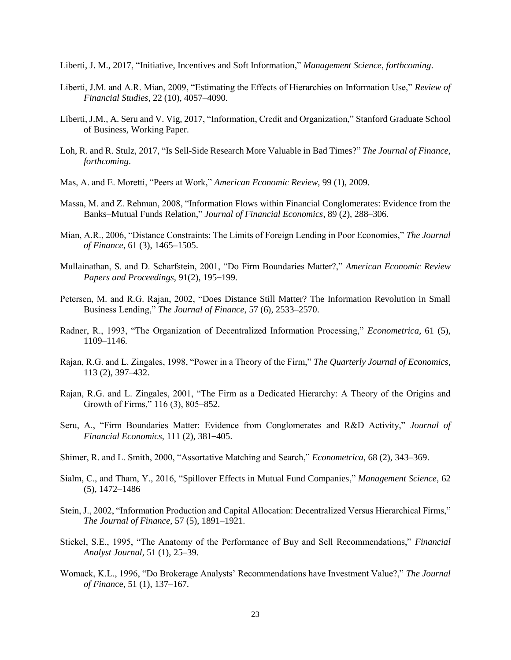Liberti, J. M., 2017, "Initiative, Incentives and Soft Information," *Management Science*, *forthcoming*.

- Liberti, J.M. and A.R. Mian, 2009, "Estimating the Effects of Hierarchies on Information Use," *Review of Financial Studies*, 22 (10), 4057–4090.
- Liberti, J.M., A. Seru and V. Vig, 2017, "Information, Credit and Organization," Stanford Graduate School of Business, Working Paper.
- Loh, R. and R. Stulz, 2017, "Is Sell-Side Research More Valuable in Bad Times?" *The Journal of Finance*, *forthcoming*.
- Mas, A. and E. Moretti, "Peers at Work," *American Economic Review*, 99 (1), 2009.
- Massa, M. and Z. Rehman, 2008, "Information Flows within Financial Conglomerates: Evidence from the Banks–Mutual Funds Relation," *Journal of Financial Economics*, 89 (2), 288–306.
- Mian, A.R., 2006, "Distance Constraints: The Limits of Foreign Lending in Poor Economies," *The Journal of Finance*, 61 (3), 1465–1505.
- Mullainathan, S. and D. Scharfstein, 2001, "Do Firm Boundaries Matter?," *American Economic Review Papers and Proceedings,* 91(2), 195–199.
- Petersen, M. and R.G. Rajan, 2002, "Does Distance Still Matter? The Information Revolution in Small Business Lending," *The Journal of Finance*, 57 (6), 2533–2570.
- Radner, R., 1993, "The Organization of Decentralized Information Processing," *Econometrica*, 61 (5), 1109–1146.
- Rajan, R.G. and L. Zingales, 1998, "Power in a Theory of the Firm," *The Quarterly Journal of Economics*, 113 (2), 397–432.
- Rajan, R.G. and L. Zingales, 2001, "The Firm as a Dedicated Hierarchy: A Theory of the Origins and Growth of Firms," 116 (3), 805–852.
- Seru, A., "Firm Boundaries Matter: Evidence from Conglomerates and R&D Activity," *Journal of Financial Economics*, 111 (2), 381–405.
- Shimer, R. and L. Smith, 2000, "Assortative Matching and Search," *Econometrica*, 68 (2), 343–369.
- Sialm, C., and Tham, Y., 2016, "Spillover Effects in Mutual Fund Companies," *Management Science*, 62 (5), 1472–1486
- Stein, J., 2002, "Information Production and Capital Allocation: Decentralized Versus Hierarchical Firms," *The Journal of Finance*, 57 (5), 1891–1921.
- Stickel, S.E., 1995, "The Anatomy of the Performance of Buy and Sell Recommendations," *Financial Analyst Journal*, 51 (1), 25–39.
- Womack, K.L., 1996, "Do Brokerage Analysts' Recommendations have Investment Value?," *The Journal of Finan*ce, 51 (1), 137–167.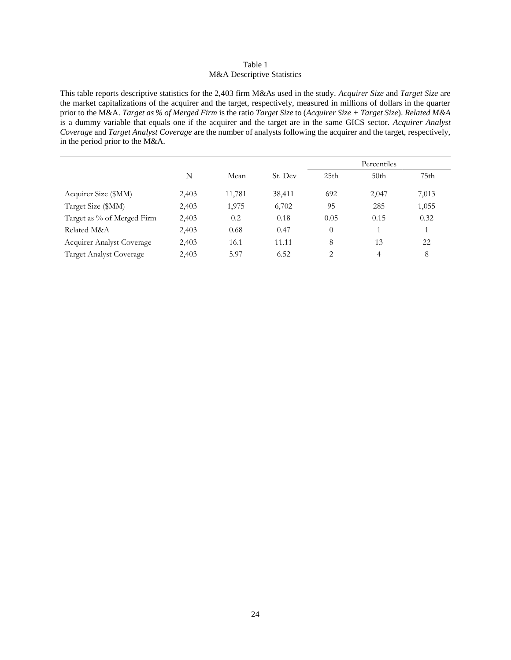# Table 1 M&A Descriptive Statistics

This table reports descriptive statistics for the 2,403 firm M&As used in the study. *Acquirer Size* and *Target Size* are the market capitalizations of the acquirer and the target, respectively, measured in millions of dollars in the quarter prior to the M&A. *Target as % of Merged Firm* is the ratio *Target Size* to (*Acquirer Size + Target Size*). *Related M&A*  is a dummy variable that equals one if the acquirer and the target are in the same GICS sector. *Acquirer Analyst Coverage* and *Target Analyst Coverage* are the number of analysts following the acquirer and the target, respectively, in the period prior to the M&A.

|                                  |       |        |         | Percentiles      |                  |       |
|----------------------------------|-------|--------|---------|------------------|------------------|-------|
|                                  | N     | Mean   | St. Dev | 25 <sub>th</sub> | 50 <sub>th</sub> | 75th  |
| Acquirer Size (\$MM)             | 2,403 | 11,781 | 38,411  | 692              | 2,047            | 7,013 |
| Target Size (\$MM)               | 2,403 | 1,975  | 6,702   | 95               | 285              | 1,055 |
| Target as % of Merged Firm       | 2,403 | 0.2    | 0.18    | 0.05             | 0.15             | 0.32  |
| Related M&A                      | 2,403 | 0.68   | 0.47    | $\theta$         |                  |       |
| <b>Acquirer Analyst Coverage</b> | 2,403 | 16.1   | 11.11   | 8                | 13               | 22    |
| <b>Target Analyst Coverage</b>   | 2,403 | 5.97   | 6.52    | $\mathcal{D}$    | 4                | 8     |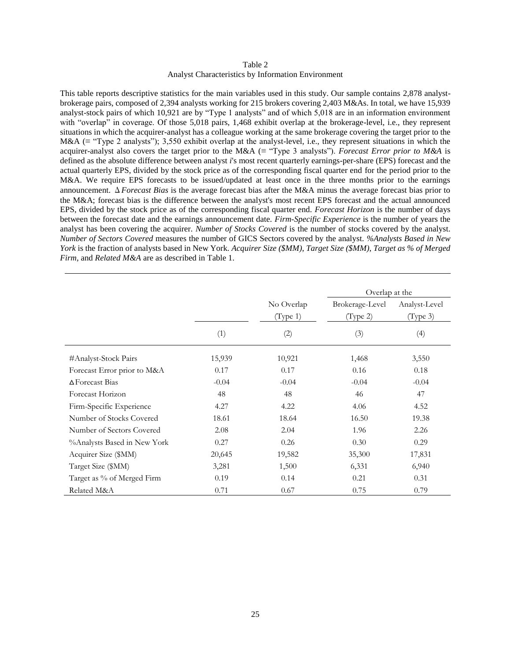#### Table 2 Analyst Characteristics by Information Environment

This table reports descriptive statistics for the main variables used in this study. Our sample contains 2,878 analystbrokerage pairs, composed of 2,394 analysts working for 215 brokers covering 2,403 M&As. In total, we have 15,939 analyst-stock pairs of which 10,921 are by "Type 1 analysts" and of which 5,018 are in an information environment with "overlap" in coverage. Of those 5,018 pairs, 1,468 exhibit overlap at the brokerage-level, i.e., they represent situations in which the acquirer-analyst has a colleague working at the same brokerage covering the target prior to the M&A (≡ "Type 2 analysts"); 3,550 exhibit overlap at the analyst-level, i.e., they represent situations in which the acquirer-analyst also covers the target prior to the M&A (≡ "Type 3 analysts"). *Forecast Error prior to M&A* is defined as the absolute difference between analyst *i*'s most recent quarterly earnings-per-share (EPS) forecast and the actual quarterly EPS, divided by the stock price as of the corresponding fiscal quarter end for the period prior to the M&A. We require EPS forecasts to be issued/updated at least once in the three months prior to the earnings announcement. Δ*Forecast Bias* is the average forecast bias after the M&A minus the average forecast bias prior to the M&A; forecast bias is the difference between the analyst's most recent EPS forecast and the actual announced EPS, divided by the stock price as of the corresponding fiscal quarter end. *Forecast Horizon* is the number of days between the forecast date and the earnings announcement date. *Firm-Specific Experience* is the number of years the analyst has been covering the acquirer. *Number of Stocks Covered* is the number of stocks covered by the analyst. *Number of Sectors Covered* measures the number of GICS Sectors covered by the analyst. *%Analysts Based in New York* is the fraction of analysts based in New York. *Acquirer Size (\$MM)*, *Target Size (\$MM)*, *Target as % of Merged Firm*, and *Related M&A* are as described in Table 1.

|                             |         |                        | Overlap at the              |                           |  |
|-----------------------------|---------|------------------------|-----------------------------|---------------------------|--|
|                             |         | No Overlap<br>(Type 1) | Brokerage-Level<br>(Type 2) | Analyst-Level<br>(Type 3) |  |
|                             | (1)     | (2)                    | (3)                         | (4)                       |  |
| #Analyst-Stock Pairs        | 15,939  | 10,921                 | 1,468                       | 3,550                     |  |
| Forecast Error prior to M&A | 0.17    | 0.17                   | 0.16                        | 0.18                      |  |
| $\Delta$ Forecast Bias      | $-0.04$ | $-0.04$                | $-0.04$                     | $-0.04$                   |  |
| Forecast Horizon            | 48      | 48                     | 46                          | 47                        |  |
| Firm-Specific Experience    | 4.27    | 4.22                   | 4.06                        | 4.52                      |  |
| Number of Stocks Covered    | 18.61   | 18.64                  | 16.50                       | 19.38                     |  |
| Number of Sectors Covered   | 2.08    | 2.04                   | 1.96                        | 2.26                      |  |
| %Analysts Based in New York | 0.27    | 0.26                   | 0.30                        | 0.29                      |  |
| Acquirer Size (\$MM)        | 20,645  | 19,582                 | 35,300                      | 17,831                    |  |
| Target Size (\$MM)          | 3,281   | 1,500                  | 6,331                       | 6,940                     |  |
| Target as % of Merged Firm  | 0.19    | 0.14                   | 0.21                        | 0.31                      |  |
| Related M&A                 | 0.71    | 0.67                   | 0.75                        | 0.79                      |  |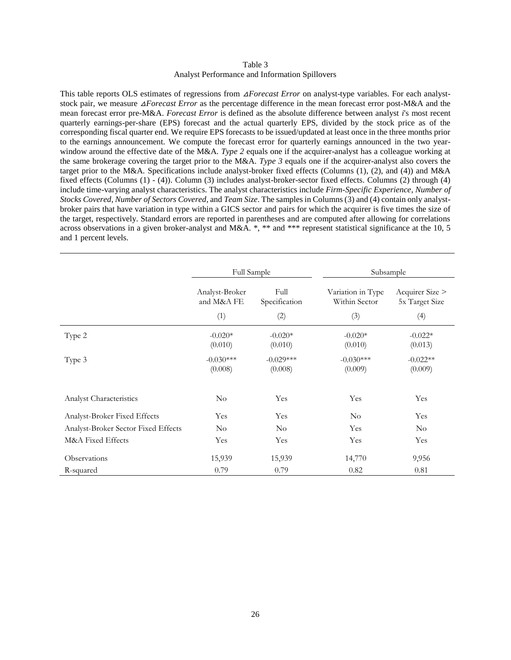#### Table 3 Analyst Performance and Information Spillovers

This table reports OLS estimates of regressions from *∆Forecast Error* on analyst-type variables. For each analyststock pair, we measure △*Forecast Error* as the percentage difference in the mean forecast error post-M&A and the mean forecast error pre-M&A. *Forecast Error* is defined as the absolute difference between analyst *i*'s most recent quarterly earnings-per-share (EPS) forecast and the actual quarterly EPS, divided by the stock price as of the corresponding fiscal quarter end. We require EPS forecasts to be issued/updated at least once in the three months prior to the earnings announcement. We compute the forecast error for quarterly earnings announced in the two yearwindow around the effective date of the M&A. *Type 2* equals one if the acquirer-analyst has a colleague working at the same brokerage covering the target prior to the M&A. *Type 3* equals one if the acquirer-analyst also covers the target prior to the M&A. Specifications include analyst-broker fixed effects (Columns (1), (2), and (4)) and M&A fixed effects (Columns (1) - (4)). Column (3) includes analyst-broker-sector fixed effects. Columns (2) through (4) include time-varying analyst characteristics. The analyst characteristics include *Firm-Specific Experience*, *Number of Stocks Covered*, *Number of Sectors Covered*, and *Team Size*. The samples in Columns (3) and (4) contain only analystbroker pairs that have variation in type within a GICS sector and pairs for which the acquirer is five times the size of the target, respectively. Standard errors are reported in parentheses and are computed after allowing for correlations across observations in a given broker-analyst and M&A. \*, \*\* and \*\*\* represent statistical significance at the 10, 5 and 1 percent levels.

|                                     | Full Sample                                           |                        | Subsample                          |                                   |  |
|-------------------------------------|-------------------------------------------------------|------------------------|------------------------------------|-----------------------------------|--|
|                                     | Full<br>Analyst-Broker<br>and M&A FE<br>Specification |                        | Variation in Type<br>Within Sector | Acquirer Size ><br>5x Target Size |  |
|                                     | (1)                                                   | (2)                    | (3)                                | (4)                               |  |
| Type 2                              | $-0.020*$<br>(0.010)                                  | $-0.020*$<br>(0.010)   | $-0.020*$<br>(0.010)               | $-0.022*$<br>(0.013)              |  |
| Type 3                              | $-0.030***$<br>(0.008)                                | $-0.029***$<br>(0.008) | $-0.030***$<br>(0.009)             | $-0.022**$<br>(0.009)             |  |
| Analyst Characteristics             | $\rm No$                                              | Yes                    | Yes                                | Yes                               |  |
| Analyst-Broker Fixed Effects        | Yes                                                   | Yes                    | $\rm No$                           | Yes                               |  |
| Analyst-Broker Sector Fixed Effects | $\rm No$                                              | $\rm No$               | Yes                                | $\rm No$                          |  |
| M&A Fixed Effects                   | Yes                                                   | Yes                    | Yes                                | Yes                               |  |
| Observations                        | 15,939                                                | 15,939                 | 14,770                             | 9,956                             |  |
| R-squared                           | 0.79                                                  | 0.79                   | 0.82                               | 0.81                              |  |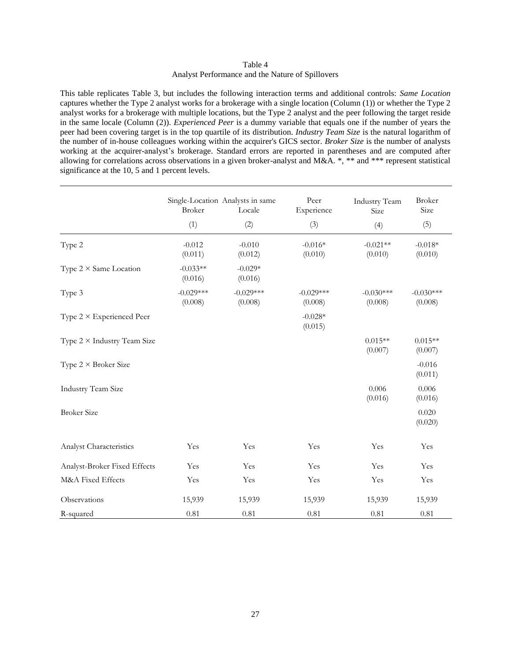# Table 4 Analyst Performance and the Nature of Spillovers

This table replicates Table 3, but includes the following interaction terms and additional controls: *Same Location* captures whether the Type 2 analyst works for a brokerage with a single location (Column (1)) or whether the Type 2 analyst works for a brokerage with multiple locations, but the Type 2 analyst and the peer following the target reside in the same locale (Column (2)). *Experienced Peer* is a dummy variable that equals one if the number of years the peer had been covering target is in the top quartile of its distribution. *Industry Team Size* is the natural logarithm of the number of in-house colleagues working within the acquirer's GICS sector. *Broker Size* is the number of analysts working at the acquirer-analyst's brokerage. Standard errors are reported in parentheses and are computed after allowing for correlations across observations in a given broker-analyst and M&A. \*, \*\* and \*\*\* represent statistical significance at the 10, 5 and 1 percent levels.

L,

 $\overline{\phantom{a}}$ 

|                                    | Single-Location Analysts in same<br><b>Broker</b><br>Locale |                        | Peer<br>Experience     | <b>Industry Team</b><br>Size | <b>Broker</b><br>Size  |
|------------------------------------|-------------------------------------------------------------|------------------------|------------------------|------------------------------|------------------------|
|                                    | (1)                                                         | (2)                    | (3)                    | (4)                          | (5)                    |
| Type 2                             | $-0.012$<br>(0.011)                                         | $-0.010$<br>(0.012)    | $-0.016*$<br>(0.010)   | $-0.021**$<br>(0.010)        | $-0.018*$<br>(0.010)   |
| Type $2 \times$ Same Location      | $-0.033**$<br>(0.016)                                       | $-0.029*$<br>(0.016)   |                        |                              |                        |
| Type 3                             | $-0.029***$<br>(0.008)                                      | $-0.029***$<br>(0.008) | $-0.029***$<br>(0.008) | $-0.030***$<br>(0.008)       | $-0.030***$<br>(0.008) |
| Type $2 \times$ Experienced Peer   |                                                             |                        | $-0.028*$<br>(0.015)   |                              |                        |
| Type $2 \times$ Industry Team Size |                                                             |                        |                        | $0.015**$<br>(0.007)         | $0.015**$<br>(0.007)   |
| Type $2 \times B$ roker Size       |                                                             |                        |                        |                              | $-0.016$<br>(0.011)    |
| <b>Industry Team Size</b>          |                                                             |                        |                        | 0.006<br>(0.016)             | 0.006<br>(0.016)       |
| <b>Broker Size</b>                 |                                                             |                        |                        |                              | 0.020<br>(0.020)       |
| Analyst Characteristics            | Yes                                                         | Yes                    | Yes                    | Yes                          | Yes                    |
| Analyst-Broker Fixed Effects       | Yes                                                         | Yes                    | Yes                    | Yes                          | Yes                    |
| M&A Fixed Effects                  | Yes                                                         | Yes                    | Yes                    | Yes                          | Yes                    |
| Observations                       | 15,939                                                      | 15,939                 | 15,939                 | 15,939                       | 15,939                 |
| R-squared                          | 0.81                                                        | 0.81                   | 0.81                   | 0.81                         | 0.81                   |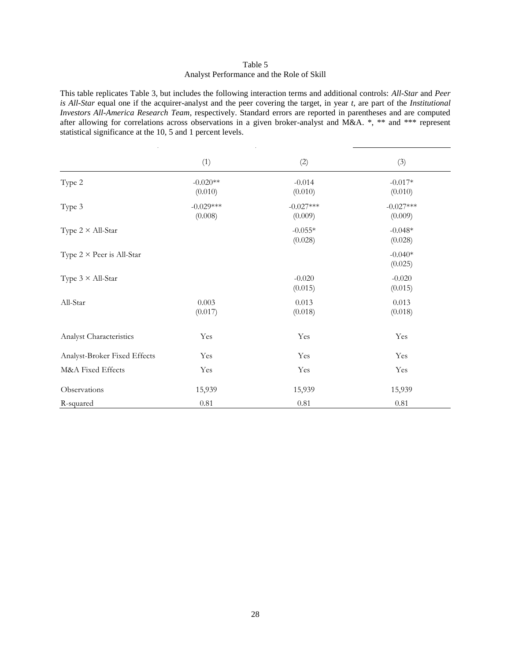# Table 5 Analyst Performance and the Role of Skill

This table replicates Table 3, but includes the following interaction terms and additional controls: *All-Star* and *Peer is All-Star* equal one if the acquirer-analyst and the peer covering the target, in year *t*, are part of the *Institutional Investors All-America Research Team*, respectively. Standard errors are reported in parentheses and are computed after allowing for correlations across observations in a given broker-analyst and M&A. \*, \*\* and \*\*\* represent statistical significance at the 10, 5 and 1 percent levels.

|                                  | (1)                    | (2)                    | (3)                    |
|----------------------------------|------------------------|------------------------|------------------------|
| Type 2                           | $-0.020**$<br>(0.010)  | $-0.014$<br>(0.010)    | $-0.017*$<br>(0.010)   |
| Type 3                           | $-0.029***$<br>(0.008) | $-0.027***$<br>(0.009) | $-0.027***$<br>(0.009) |
| Type $2 \times All-Star$         |                        | $-0.055*$<br>(0.028)   | $-0.048*$<br>(0.028)   |
| Type $2 \times$ Peer is All-Star |                        |                        | $-0.040*$<br>(0.025)   |
| Type $3 \times All-Star$         |                        | $-0.020$<br>(0.015)    | $-0.020$<br>(0.015)    |
| All-Star                         | 0.003<br>(0.017)       | 0.013<br>(0.018)       | 0.013<br>(0.018)       |
| Analyst Characteristics          | Yes                    | Yes                    | Yes                    |
| Analyst-Broker Fixed Effects     | Yes                    | Yes                    | Yes                    |
| M&A Fixed Effects                | Yes                    | Yes                    | Yes                    |
| Observations                     | 15,939                 | 15,939                 | 15,939                 |
| R-squared                        | $0.81\,$               | $0.81\,$               | 0.81                   |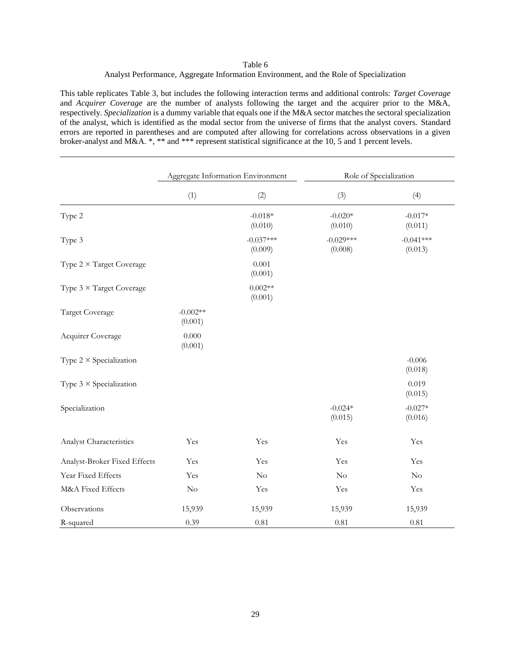# Table 6 Analyst Performance, Aggregate Information Environment, and the Role of Specialization

This table replicates Table 3, but includes the following interaction terms and additional controls: *Target Coverage* and *Acquirer Coverage* are the number of analysts following the target and the acquirer prior to the M&A, respectively. *Specialization* is a dummy variable that equals one if the M&A sector matches the sectoral specialization of the analyst, which is identified as the modal sector from the universe of firms that the analyst covers. Standard errors are reported in parentheses and are computed after allowing for correlations across observations in a given broker-analyst and M&A. \*, \*\* and \*\*\* represent statistical significance at the 10, 5 and 1 percent levels.

|                                 | Aggregate Information Environment |                        | Role of Specialization |                        |
|---------------------------------|-----------------------------------|------------------------|------------------------|------------------------|
|                                 | (1)                               | (2)                    | (3)                    | (4)                    |
| Type 2                          |                                   | $-0.018*$<br>(0.010)   | $-0.020*$<br>(0.010)   | $-0.017*$<br>(0.011)   |
| Type 3                          |                                   | $-0.037***$<br>(0.009) | $-0.029***$<br>(0.008) | $-0.041***$<br>(0.013) |
| Type $2 \times$ Target Coverage |                                   | 0.001<br>(0.001)       |                        |                        |
| Type $3 \times$ Target Coverage |                                   | $0.002**$<br>(0.001)   |                        |                        |
| <b>Target Coverage</b>          | $-0.002**$<br>(0.001)             |                        |                        |                        |
| Acquirer Coverage               | 0.000<br>(0.001)                  |                        |                        |                        |
| Type $2 \times$ Specialization  |                                   |                        |                        | $-0.006$<br>(0.018)    |
| Type $3 \times$ Specialization  |                                   |                        |                        | 0.019<br>(0.015)       |
| Specialization                  |                                   |                        | $-0.024*$<br>(0.015)   | $-0.027*$<br>(0.016)   |
| Analyst Characteristics         | Yes                               | Yes                    | Yes                    | Yes                    |
| Analyst-Broker Fixed Effects    | Yes                               | Yes                    | Yes                    | Yes                    |
| Year Fixed Effects              | Yes                               | No                     | No                     | $\rm No$               |
| M&A Fixed Effects               | $\rm No$                          | Yes                    | Yes                    | Yes                    |
| Observations                    | 15,939                            | 15,939                 | 15,939                 | 15,939                 |
| R-squared                       | 0.39                              | 0.81                   | 0.81                   | 0.81                   |